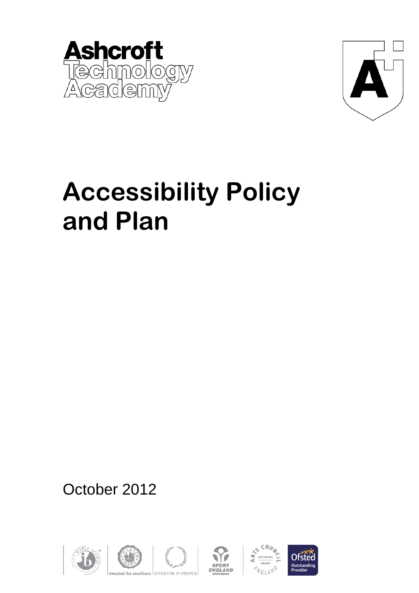



# **Accessibility Policy and Plan**

October 2012











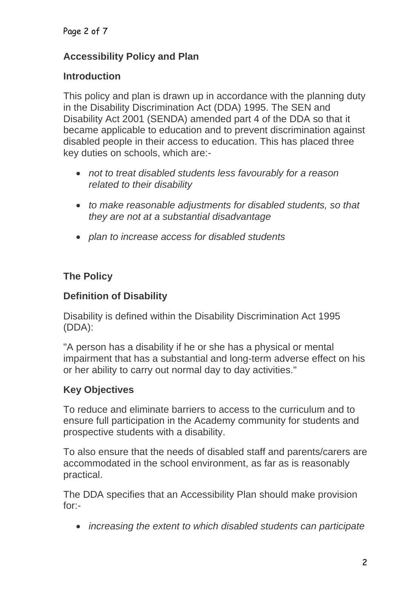#### Page 2 of 7

#### **Accessibility Policy and Plan**

#### **Introduction**

This policy and plan is drawn up in accordance with the planning duty in the Disability Discrimination Act (DDA) 1995. The SEN and Disability Act 2001 (SENDA) amended part 4 of the DDA so that it became applicable to education and to prevent discrimination against disabled people in their access to education. This has placed three key duties on schools, which are:-

- *not to treat disabled students less favourably for a reason related to their disability*
- *to make reasonable adjustments for disabled students, so that they are not at a substantial disadvantage*
- *plan to increase access for disabled students*

#### **The Policy**

#### **Definition of Disability**

Disability is defined within the Disability Discrimination Act 1995 (DDA):

"A person has a disability if he or she has a physical or mental impairment that has a substantial and long-term adverse effect on his or her ability to carry out normal day to day activities."

#### **Key Objectives**

To reduce and eliminate barriers to access to the curriculum and to ensure full participation in the Academy community for students and prospective students with a disability.

To also ensure that the needs of disabled staff and parents/carers are accommodated in the school environment, as far as is reasonably practical.

The DDA specifies that an Accessibility Plan should make provision for:-

*increasing the extent to which disabled students can participate*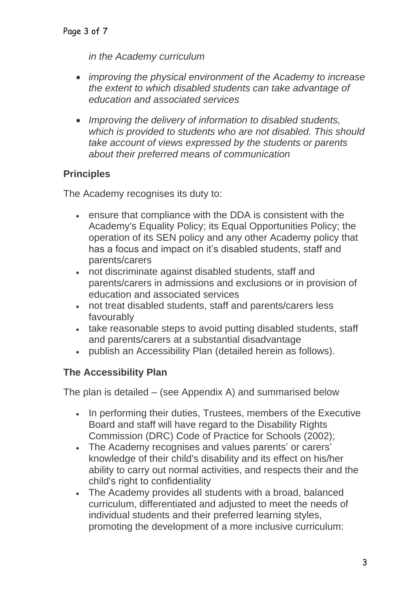*in the Academy curriculum*

- *improving the physical environment of the Academy to increase the extent to which disabled students can take advantage of education and associated services*
- *Improving the delivery of information to disabled students, which is provided to students who are not disabled. This should take account of views expressed by the students or parents about their preferred means of communication*

## **Principles**

The Academy recognises its duty to:

- ensure that compliance with the DDA is consistent with the Academy's Equality Policy; its Equal Opportunities Policy; the operation of its SEN policy and any other Academy policy that has a focus and impact on it's disabled students, staff and parents/carers
- not discriminate against disabled students, staff and parents/carers in admissions and exclusions or in provision of education and associated services
- not treat disabled students, staff and parents/carers less favourably
- take reasonable steps to avoid putting disabled students, staff and parents/carers at a substantial disadvantage
- publish an Accessibility Plan (detailed herein as follows).

#### **The Accessibility Plan**

The plan is detailed – (see Appendix A) and summarised below

- In performing their duties, Trustees, members of the Executive Board and staff will have regard to the Disability Rights Commission (DRC) Code of Practice for Schools (2002);
- The Academy recognises and values parents' or carers' knowledge of their child's disability and its effect on his/her ability to carry out normal activities, and respects their and the child's right to confidentiality
- The Academy provides all students with a broad, balanced curriculum, differentiated and adjusted to meet the needs of individual students and their preferred learning styles, promoting the development of a more inclusive curriculum: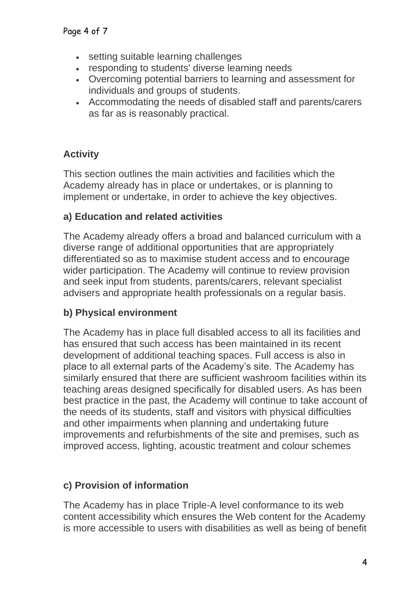- setting suitable learning challenges
- responding to students' diverse learning needs
- Overcoming potential barriers to learning and assessment for individuals and groups of students.
- Accommodating the needs of disabled staff and parents/carers as far as is reasonably practical.

# **Activity**

This section outlines the main activities and facilities which the Academy already has in place or undertakes, or is planning to implement or undertake, in order to achieve the key objectives.

# **a) Education and related activities**

The Academy already offers a broad and balanced curriculum with a diverse range of additional opportunities that are appropriately differentiated so as to maximise student access and to encourage wider participation. The Academy will continue to review provision and seek input from students, parents/carers, relevant specialist advisers and appropriate health professionals on a regular basis.

# **b) Physical environment**

The Academy has in place full disabled access to all its facilities and has ensured that such access has been maintained in its recent development of additional teaching spaces. Full access is also in place to all external parts of the Academy's site. The Academy has similarly ensured that there are sufficient washroom facilities within its teaching areas designed specifically for disabled users. As has been best practice in the past, the Academy will continue to take account of the needs of its students, staff and visitors with physical difficulties and other impairments when planning and undertaking future improvements and refurbishments of the site and premises, such as improved access, lighting, acoustic treatment and colour schemes

# **c) Provision of information**

The Academy has in place Triple-A level conformance to its web content accessibility which ensures the Web content for the Academy is more accessible to users with disabilities as well as being of benefit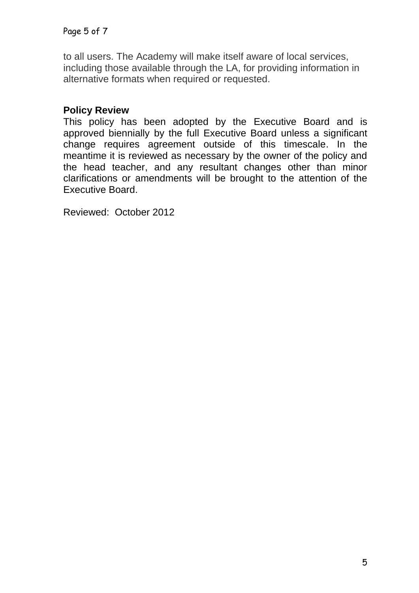to all users. The Academy will make itself aware of local services, including those available through the LA, for providing information in alternative formats when required or requested.

#### **Policy Review**

This policy has been adopted by the Executive Board and is approved biennially by the full Executive Board unless a significant change requires agreement outside of this timescale. In the meantime it is reviewed as necessary by the owner of the policy and the head teacher, and any resultant changes other than minor clarifications or amendments will be brought to the attention of the Executive Board.

Reviewed: October 2012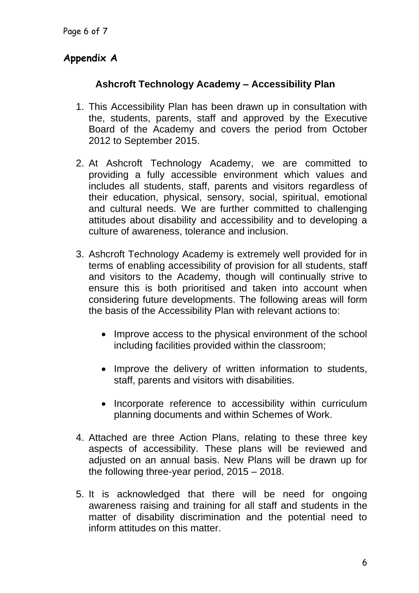## **Appendix A**

#### **Ashcroft Technology Academy – Accessibility Plan**

- 1. This Accessibility Plan has been drawn up in consultation with the, students, parents, staff and approved by the Executive Board of the Academy and covers the period from October 2012 to September 2015.
- 2. At Ashcroft Technology Academy, we are committed to providing a fully accessible environment which values and includes all students, staff, parents and visitors regardless of their education, physical, sensory, social, spiritual, emotional and cultural needs. We are further committed to challenging attitudes about disability and accessibility and to developing a culture of awareness, tolerance and inclusion.
- 3. Ashcroft Technology Academy is extremely well provided for in terms of enabling accessibility of provision for all students, staff and visitors to the Academy, though will continually strive to ensure this is both prioritised and taken into account when considering future developments. The following areas will form the basis of the Accessibility Plan with relevant actions to:
	- Improve access to the physical environment of the school including facilities provided within the classroom;
	- Improve the delivery of written information to students, staff, parents and visitors with disabilities.
	- Incorporate reference to accessibility within curriculum planning documents and within Schemes of Work.
- 4. Attached are three Action Plans, relating to these three key aspects of accessibility. These plans will be reviewed and adjusted on an annual basis. New Plans will be drawn up for the following three-year period, 2015 – 2018.
- 5. It is acknowledged that there will be need for ongoing awareness raising and training for all staff and students in the matter of disability discrimination and the potential need to inform attitudes on this matter.